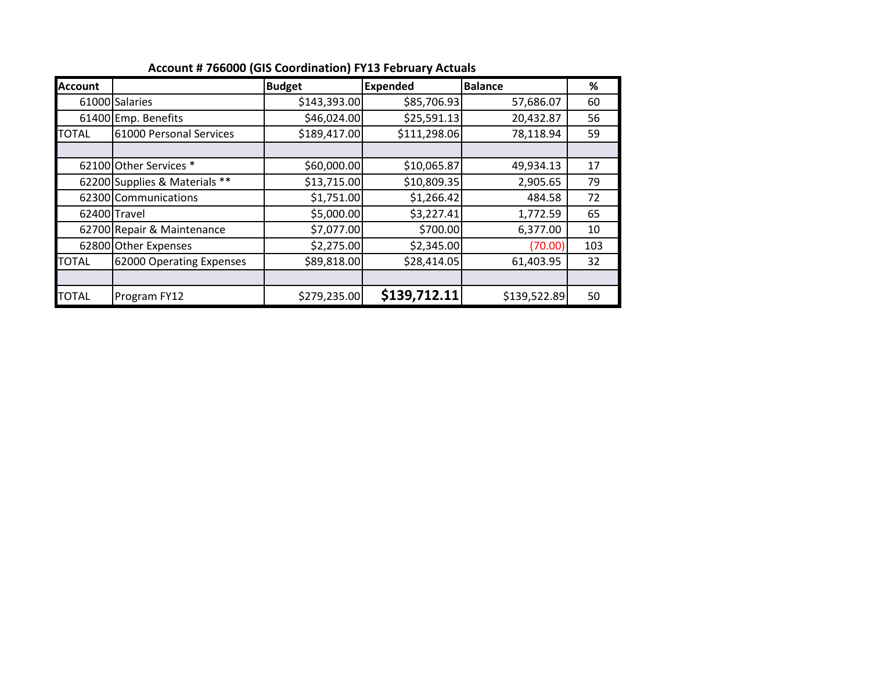| <b>Account</b> |                               | <b>Budget</b> | <b>Expended</b> | <b>Balance</b> | %   |
|----------------|-------------------------------|---------------|-----------------|----------------|-----|
|                | 61000 Salaries                | \$143,393.00  | \$85,706.93     | 57,686.07      | 60  |
|                | 61400 Emp. Benefits           | \$46,024.00   | \$25,591.13     | 20,432.87      | 56  |
| <b>TOTAL</b>   | 61000 Personal Services       | \$189,417.00  | \$111,298.06    | 78,118.94      | 59  |
|                |                               |               |                 |                |     |
|                | 62100 Other Services *        | \$60,000.00   | \$10,065.87     | 49,934.13      | 17  |
|                | 62200 Supplies & Materials ** | \$13,715.00   | \$10,809.35     | 2,905.65       | 79  |
|                | 62300 Communications          | \$1,751.00    | \$1,266.42      | 484.58         | 72  |
|                | 62400 Travel                  | \$5,000.00    | \$3,227.41      | 1,772.59       | 65  |
|                | 62700 Repair & Maintenance    | \$7,077.00    | \$700.00        | 6,377.00       | 10  |
|                | 62800 Other Expenses          | \$2,275.00    | \$2,345.00      | (70.00)        | 103 |
| <b>TOTAL</b>   | 62000 Operating Expenses      | \$89,818.00   | \$28,414.05     | 61,403.95      | 32  |
|                |                               |               |                 |                |     |
| <b>TOTAL</b>   | Program FY12                  | \$279,235.00  | \$139,712.11    | \$139,522.89   | 50  |

**Account # 766000 (GIS Coordination) FY13 February Actuals**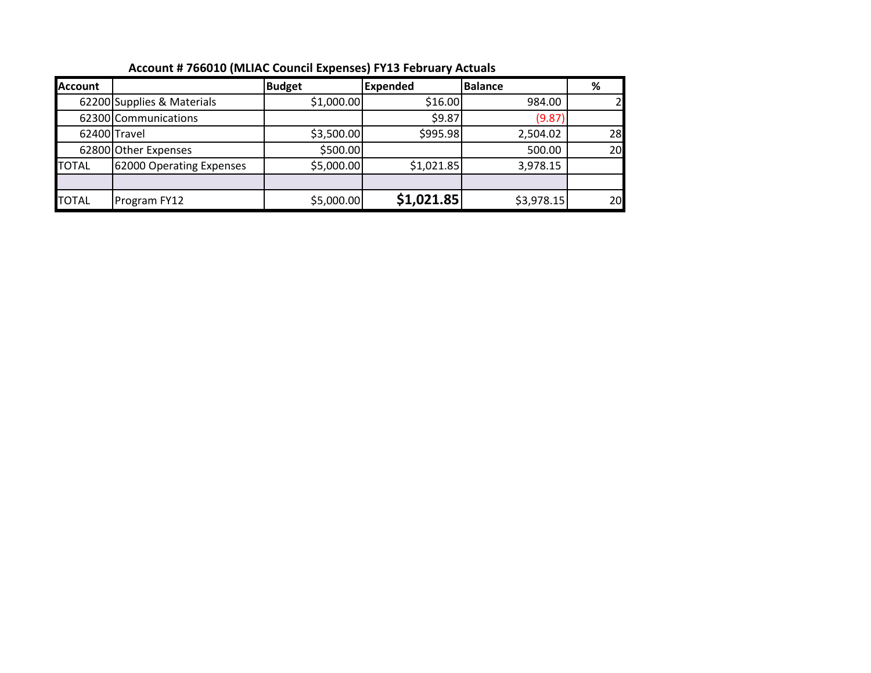| Account # 700010 (MEAC COUNCILEANCHOCO)   113   CONGOLY ACCOUNT |                            |               |                 |                |    |  |  |  |
|-----------------------------------------------------------------|----------------------------|---------------|-----------------|----------------|----|--|--|--|
| <b>Account</b>                                                  |                            | <b>Budget</b> | <b>Expended</b> | <b>Balance</b> | %  |  |  |  |
|                                                                 | 62200 Supplies & Materials | \$1,000.00    | \$16.00         | 984.00         |    |  |  |  |
|                                                                 | 62300 Communications       |               | \$9.87          | (9.87)         |    |  |  |  |
|                                                                 | 62400 Travel               | \$3,500.00    | \$995.98        | 2,504.02       | 28 |  |  |  |
|                                                                 | 62800 Other Expenses       | \$500.00      |                 | 500.00         | 20 |  |  |  |
| <b>TOTAL</b>                                                    | 62000 Operating Expenses   | \$5,000.00    | \$1,021.85      | 3,978.15       |    |  |  |  |
|                                                                 |                            |               |                 |                |    |  |  |  |
| <b>TOTAL</b>                                                    | Program FY12               | \$5,000.00    | \$1,021.85      | \$3,978.15     | 20 |  |  |  |

## **Account # 766010 (MLIAC Council Expenses) FY13 February Actuals**